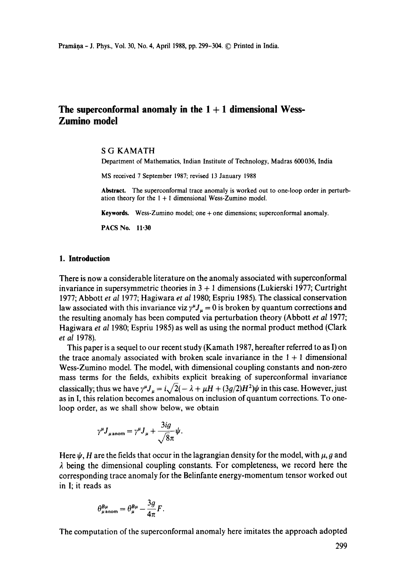# **The superconformal anomaly in the 1 + 1 dimensional Wess-Zumino model**

#### S G KAMATH

Department of Mathematics, Indian Institute of Technology, Madras 600036, India

MS received 7 September 1987; revised 13 January 1988

**Abstract.** The superconformal trace anomaly is worked out to one-loop order in perturbation theory for the  $1 + 1$  dimensional Wess-Zumino model.

**Keywords.** Wess-Zumino model; one + one dimensions; superconformal anomaly.

PACS No. 11.30

#### **1. Introduction**

There is now a considerable literature on the anomaly associated with superconformal invariance in supersymmetric theories in  $3 + 1$  dimensions (Lukierski 1977; Curtright 1977; Abbott *et al* 1977; Hagiwara *et al* 1980; Espriu 1985). The classical conservation law associated with this invariance viz  $\gamma^{\mu}J_{\mu} = 0$  is broken by quantum corrections and the resulting anomaly has been computed via perturbation theory (Abbott *et al* 1977; Hagiwara *et al* 1980; Espriu 1985) as well as using the normal product method (Clark *et al* 1978).

This paper is a sequel to our recent study (Kamath 1987, hereafter referred to as I) on the trace anomaly associated with broken scale invariance in the  $1 + 1$  dimensional Wess-Zumino model. The model, with dimensional coupling constants and non-zero mass terms for the fields, exhibits explicit breaking of superconformal invariance classically; thus we have  $\gamma^{\mu} J_{\mu} = i \sqrt{2(-\lambda + \mu H + (3g/2)H^2)} \psi$  in this case. However, just as in I, this relation becomes anomalous on inclusion of quantum corrections. To oneloop order, as we shall show below, we obtain

$$
\gamma^{\mu} J_{\mu\,\text{anom}} = \gamma^{\mu} J_{\mu} + \frac{3ig}{\sqrt{8}\pi} \psi.
$$

Here  $\psi$ , H are the fields that occur in the lagrangian density for the model, with  $\mu$ , g and  $\lambda$  being the dimensional coupling constants. For completeness, we record here the corresponding trace anomaly for the Belinfante energy-momentum tensor worked out in I; it reads as

$$
\theta_{\mu\,\rm anom}^{B\mu}=\theta_\mu^{B\mu}-\frac{3g}{4\pi}F.
$$

The computation of the superconformal anomaly here imitates the approach adopted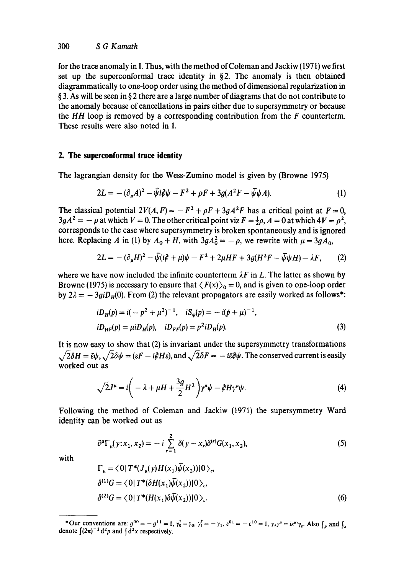for the trace anomaly in I. Thus, with the method of Coleman and Jackiw (1971) we first set up the superconformal trace identity in  $\S 2$ . The anomaly is then obtained diagrammatically to one-loop order using the method of dimensional regularization in  $\S$  3. As will be seen in  $\S$  2 there are a large number of diagrams that do not contribute to the anomaly because of cancellations in pairs either due to supersymmetry or because the *HH* loop is removed by a corresponding contribution from the F counterterm. These results were also noted in I.

## **2. The superconformal trace identity**

The lagrangian density for the Wess-Zumino model is given by (Browne 1975)

$$
2L = -(\partial_{\mu}A)^{2} - \bar{\psi}i\partial\psi - F^{2} + \rho F + 3g(A^{2}F - \bar{\psi}\psi A). \tag{1}
$$

The classical potential  $2V(A, F) = -F^2 + \rho F + 3gA^2F$  has a critical point at  $F = 0$ ,  $3gA^2 = -\rho$  at which  $V = 0$ . The other critical point viz  $F = \frac{1}{2}\rho$ ,  $A = 0$  at which  $4V = \rho^2$ , corresponds to the case where supersymmetry is broken spontaneously and is ignored here. Replacing A in (1) by  $A_0 + H$ , with  $3gA_0^2 = -\rho$ , we rewrite with  $\mu = 3gA_0$ ,

$$
2L = -(\partial_{\mu}H)^{2} - \bar{\psi}(i\partial + \mu)\psi - F^{2} + 2\mu HF + 3g(H^{2}F - \bar{\psi}\psi H) - \lambda F, \qquad (2)
$$

where we have now included the infinite counterterm  $\lambda F$  in L. The latter as shown by Browne (1975) is necessary to ensure that  $\langle F(x) \rangle_0 = 0$ , and is given to one-loop order by  $2\lambda = -3giD_H(0)$ . From (2) the relevant propagators are easily worked as follows<sup>\*</sup>:

$$
iD_H(p) = i(-p^2 + \mu^2)^{-1}, \quad iS_{\psi}(p) = -i(p^2 + \mu)^{-1},
$$
  
\n
$$
iD_{HF}(p) = \mu iD_H(p), \quad iD_{FF}(p) = p^2 iD_H(p).
$$
\n(3)

It is now easy to show that (2) is invariant under the supersymmetry transformations  $\sqrt{2\delta H} = \bar{\epsilon}\psi$ ,  $\sqrt{2\delta\psi} = (\epsilon F - i\partial H \epsilon)$ , and  $\sqrt{2\delta F} = -i\bar{\epsilon}\partial\psi$ . The conserved current is easily worked out as

$$
\sqrt{2}J^{\mu} = i\left(-\lambda + \mu H + \frac{3g}{2}H^2\right)\gamma^{\mu}\psi - \partial H\gamma^{\mu}\psi.
$$
 (4)

Following the method of Coleman and Jackiw (1971) the supersymmetry Ward identity can be worked out as

$$
\partial^{\mu} \Gamma_{\mu}(y; x_1, x_2) = -i \sum_{r=1}^{2} \delta(y - x_r) \delta^{(r)} G(x_1, x_2), \tag{5}
$$

with

$$
\Gamma_{\mu} = \langle 0 | T^* (J_{\mu}(y) H(x_1) \psi(x_2)) | 0 \rangle_c
$$
  
\n
$$
\delta^{(1)} G = \langle 0 | T^* (\delta H(x_1) \overline{\psi}(x_2)) | 0 \rangle_c,
$$
  
\n
$$
\delta^{(2)} G = \langle 0 | T^* (H(x_1) \delta \overline{\psi}(x_2)) | 0 \rangle_c.
$$
\n(6)

<sup>\*</sup>Our conventions are:  $g^{00} = -g^{11} = 1$ ,  $\gamma_0^* = \gamma_0$ ,  $\gamma_1^* = -\gamma_1$ ,  $\varepsilon^{01} = -\varepsilon^{10} = 1$ ,  $\gamma_5 \gamma^{\mu} = i\varepsilon^{\mu\nu}\gamma_{\nu}$ . Also  $\int_{\mathfrak{p}}$  and  $\int_{\mathfrak{p}}$ denote  $\int (2\pi)^{-2} d^2p$  and  $\int d^2x$  respectively.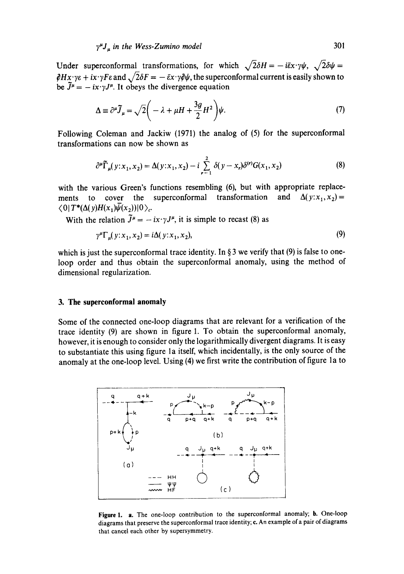Under superconformal transformations, for which  $\sqrt{2}\delta H = -i\bar{\varepsilon}x \cdot \gamma \psi$ ,  $\sqrt{2}\delta \psi =$  $\partial Hx \cdot y \varepsilon + ix \cdot yF \varepsilon$  and  $\sqrt{2}\delta F = -\bar{\varepsilon}x \cdot y \partial \psi$ , the superconformal current is easily shown to be  $\tilde{J}^{\mu} = -ix \cdot \gamma J^{\mu}$ . It obeys the divergence equation

$$
\Delta \equiv \partial^{\mu} \tilde{J}_{\mu} = \sqrt{2} \left( -\lambda + \mu H + \frac{3g}{2} H^{2} \right) \psi.
$$
 (7)

Following Coleman and Jackiw (1971) the analog of (5) for the superconformal transformations can now be shown as

$$
\partial^{\mu} \tilde{\Gamma}_{\mu}(y; x_1, x_2) = \Delta(y; x_1, x_2) - i \sum_{r=1}^{2} \delta(y - x_r) \delta^{(r)} G(x_1, x_2)
$$
 (8)

with the various Green's functions resembling (6), but with appropriate replacements to cover the superconformal transformation and  $\Delta(y:x_1,x_2)$  $\langle 0|T^*(\Delta(y)H(x_1)\overline{\psi}(x_2))|0\rangle_c$ .

With the relation  $\tilde{J}^{\mu} = -ix \cdot \gamma J^{\mu}$ , it is simple to recast (8) as

$$
\gamma^{\mu} \Gamma_{\mu}(y; x_1, x_2) = i \Delta(y; x_1, x_2),\tag{9}
$$

which is just the superconformal trace identity. In  $\S 3$  we verify that (9) is false to oneloop order and thus obtain the superconformal anomaly, using the method of dimensional regularization.

## **3. The supereonformal anomaly**

Some of the connected one-loop diagrams that are relevant for a verification of the trace identity (9) are shown in figure 1. To obtain the superconformal anomaly, however, it is enough to consider only the logarithmically divergent diagrams. It is easy to substantiate this using figure la itself, which incidentally, is the only source of the anomaly at the one-loop level. Using (4) we first write the contribution of figure 1a to



Figure 1. a. The one-loop contribution to the superconformal anomaly; b. One-loop diagrams that preserve the superconformal trace identity; e. An example of a pair of diagrams that cancel each other by supersymmetry.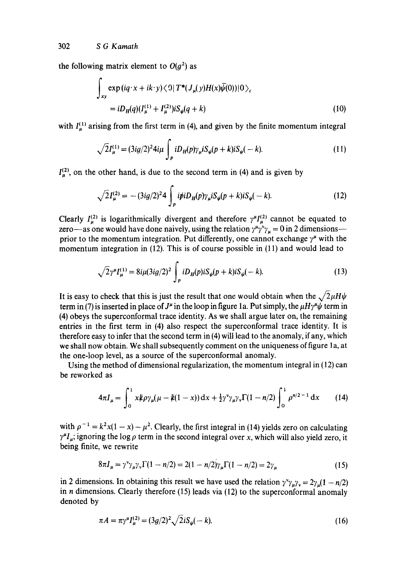302 *S G Kamath* 

the following matrix element to  $O(q^2)$  as

$$
\int_{xy} \exp( i q \cdot x + i k \cdot y ) \langle 0 | T^* (J_\mu(y) H(x) \overline{\psi}(0)) | 0 \rangle_c
$$
  
=  $i D_H(q) (I_\mu^{(1)} + I_\mu^{(2)}) i S_\psi(q+k)$  (10)

with  $I_{\mu}^{(1)}$  arising from the first term in (4), and given by the finite momentum integral

$$
\sqrt{2}I_{\mu}^{(1)} = (3ig/2)^2 4i\mu \int_{p} iD_{H}(p)\gamma_{\mu} iS_{\psi}(p+k)iS_{\psi}(-k). \tag{11}
$$

 $I_n^{(2)}$ , on the other hand, is due to the second term in (4) and is given by

$$
\sqrt{2}I_{\mu}^{(2)} = -(3ig/2)^2 4 \int_{p} i\dot{p}iD_{H}(p)\gamma_{\mu}iS_{\psi}(p+k)iS_{\psi}(-k). \tag{12}
$$

Clearly  $I_{\mu}^{(2)}$  is logarithmically divergent and therefore  $\gamma^{\mu}I_{\mu}^{(2)}$  cannot be equated to zero—as one would have done naively, using the relation  $\gamma^{\mu}\gamma^{\nu}\gamma_{\mu}=0$  in 2 dimensions prior to the momentum integration. Put differently, one cannot exchange  $\gamma^{\mu}$  with the momentum integration in (12). This is of course possible in (11) and would lead to

$$
\sqrt{2}\gamma^{\mu}I_{\mu}^{(1)} = 8i\mu(3ig/2)^{2} \int_{p} iD_{H}(p)iS_{\psi}(p+k)iS_{\psi}(-k). \tag{13}
$$

It is easy to check that this is just the result that one would obtain when the  $\sqrt{2}\mu H\psi$ term in (7) is inserted in place of  $J^{\mu}$  in the loop in figure 1a. Put simply, the  $\mu H\gamma^{\mu}\psi$  term in (4) obeys the superconformal trace identity. As we shall argue later on, the remaining entries in the first term in (4) also respect the superconformal trace identity. It is therefore easy to infer that the second term in (4) will lead to the anomaly, if any, which we shall now obtain. We shall subsequently comment on the uniqueness of figure la, at the one-loop level, as a source of the superconformal anomaly.

Using the method of dimensional regularization, the momentum integral in (12) can be reworked as

$$
4\pi I_{\mu} = \int_0^1 x\psi \rho \gamma_{\mu}(\mu - k(1-x)) dx + \frac{1}{2} \gamma^{\nu} \gamma_{\mu} \gamma_{\nu} \Gamma(1 - n/2) \int_0^1 \rho^{n/2 - 1} dx \qquad (14)
$$

with  $\rho^{-1} = k^2x(1-x) - \mu^2$ . Clearly, the first integral in (14) yields zero on calculating  $\gamma^{\mu}I_{\mu}$ ; ignoring the log  $\rho$  term in the second integral over x, which will also yield zero, it being finite, we rewrite

$$
8\pi I_{\mu} = \gamma^{\nu} \gamma_{\mu} \gamma_{\nu} \Gamma(1 - n/2) = 2(1 - n/2) \gamma_{\mu} \Gamma(1 - n/2) = 2 \gamma_{\mu}
$$
 (15)

in 2 dimensions. In obtaining this result we have used the relation  $\gamma^{\nu} \gamma_{\mu} \gamma_{\nu} = 2 \gamma_{\mu} (1 - n/2)$ in n dimensions. Clearly therefore (15) leads via (12) to the superconformal anomaly denoted by

$$
\pi A = \pi \gamma^{\mu} I_{\mu}^{(2)} = (3g/2)^2 \sqrt{2iS_{\psi}(-k)}.
$$
\n(16)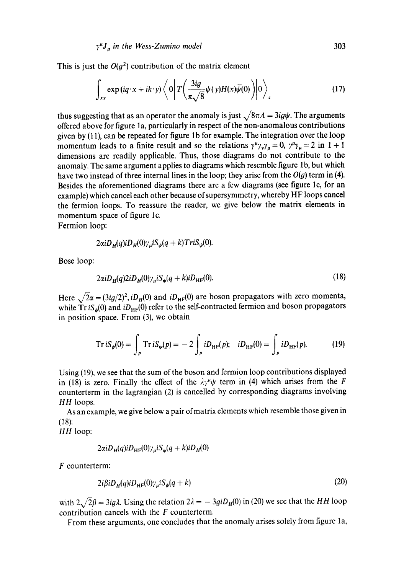This is just the  $O(g^2)$  contribution of the matrix element

$$
\int_{xy} \exp(iq \cdot x + ik \cdot y) \left\langle 0 \left| T \left( \frac{3ig}{\pi \sqrt{8}} \psi(y) H(x) \bar{\psi}(0) \right) \right| 0 \right\rangle_c \tag{17}
$$

thus suggesting that as an operator the anomaly is just  $\sqrt{8\pi A} = 3ig\psi$ . The arguments offered above for figure 1a, particularly in respect of the non-anomalous contributions given by (11), can be repeated for figure lb for example. The integration over the loop momentum leads to a finite result and so the relations  $\gamma^{\mu} \gamma_{\nu} \gamma_{\mu} = 0$ ,  $\gamma^{\mu} \gamma_{\mu} = 2$  in  $1 + 1$ dimensions are readily applicable. Thus, those diagrams do not contribute to the anomaly. The same argument applies to diagrams which resemble figure 1b, but which have two instead of three internal lines in the loop; they arise from the  $O(g)$  term in (4). Besides the aforementioned diagrams there are a few diagrams (see figure lc, for an example) which cancel each other because of supersymmetry, whereby HF loops cancel the fermion loops. To reassure the reader, we give below the matrix elements in momentum space of figure lc.

Fermion loop:

$$
2\alpha i D_{H}(q)i D_{H}(0)\gamma_{\mu} i S_{\psi}(q+k) Tr i S_{\psi}(0).
$$

Bose loop:

$$
2\alpha i D_H(q) 2i D_H(0) \gamma_\mu i S_\psi(q+k) i D_{HF}(0).
$$
\n(18)

Here  $\sqrt{2}\alpha = (3ig/2)^2$ , *iD<sub>H</sub>*(0) and *iD<sub>HF</sub>*(0) are boson propagators with zero momenta, while  $Tr iS_{\psi}(0)$  and  $iD_{HF}(0)$  refer to the self-contracted fermion and boson propagators in position space. From (3), we obtain

$$
Tr iS_{\psi}(0) = \int_{p} Tr iS_{\psi}(p) = -2 \int_{p} iD_{HF}(p); \quad iD_{HF}(0) = \int_{p} iD_{HF}(p). \tag{19}
$$

Using (19), we see that the sum of the boson and fermion loop contributions displayed in (18) is zero. Finally the effect of the  $\lambda \gamma^{\mu} \psi$  term in (4) which arises from the F counterterm in the lagrangian (2) is cancelled by corresponding diagrams involving *HH* loops.

As an example, we give below a pair of matrix elements which resemble those given in (18):

*HH* loop:

$$
2\alpha i D_H(q)i D_{\text{HF}}(0) \gamma_\mu i S_\psi(q+k) i D_H(0)
$$

F counterterm:

$$
2i\beta iD_H(q)iD_{HF}(0)\gamma_\mu iS_\psi(q+k)
$$
\n(20)

with  $2\sqrt{2\beta} = 3ig\lambda$ . Using the relation  $2\lambda = -3giD_H(0)$  in (20) we see that the *HH* loop contribution cancels with the  $F$  counterterm.

From these arguments, one concludes that the anomaly arises solely from figure la,